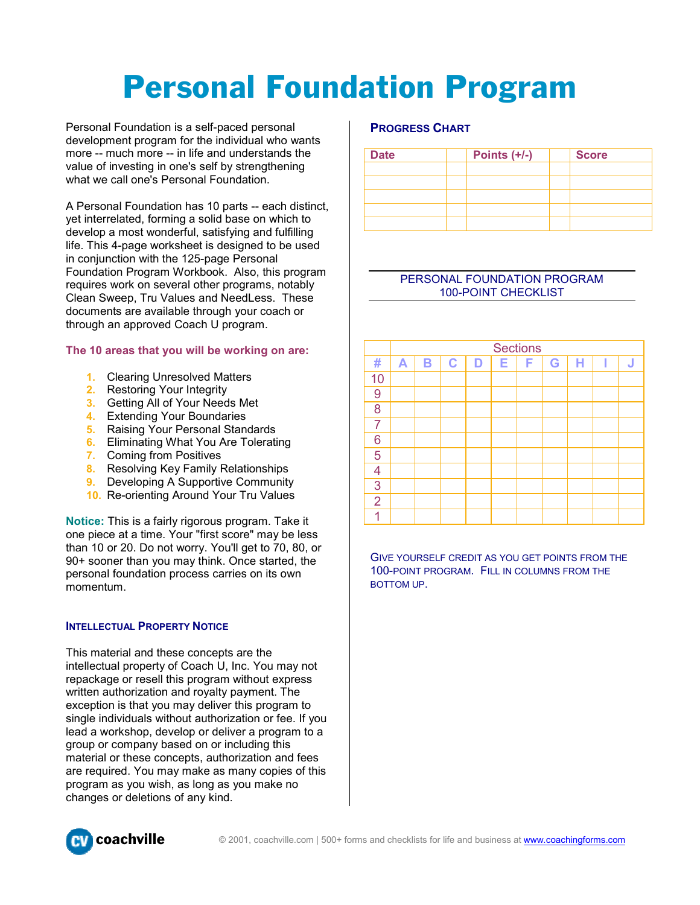# Personal Foundation Program

Personal Foundation is a self-paced personal development program for the individual who wants more -- much more -- in life and understands the value of investing in one's self by strengthening what we call one's Personal Foundation.

A Personal Foundation has 10 parts -- each distinct, yet interrelated, forming a solid base on which to develop a most wonderful, satisfying and fulfilling life. This 4-page worksheet is designed to be used in conjunction with the 125-page Personal Foundation Program Workbook. Also, this program requires work on several other programs, notably Clean Sweep, Tru Values and NeedLess. These documents are available through your coach or through an approved Coach U program.

# **The 10 areas that you will be working on are:**

- **1.** Clearing Unresolved Matters
- **2.** Restoring Your Integrity
- **3.** Getting All of Your Needs Met
- **4.** Extending Your Boundaries
- **5.** Raising Your Personal Standards
- **6.** Eliminating What You Are Tolerating
- **7.** Coming from Positives
- **8.** Resolving Key Family Relationships
- **9.** Developing A Supportive Community
- **10.** Re-orienting Around Your Tru Values

**Notice:** This is a fairly rigorous program. Take it one piece at a time. Your "first score" may be less than 10 or 20. Do not worry. You'll get to 70, 80, or 90+ sooner than you may think. Once started, the personal foundation process carries on its own momentum.

#### **INTELLECTUAL PROPERTY NOTICE**

This material and these concepts are the intellectual property of Coach U, Inc. You may not repackage or resell this program without express written authorization and royalty payment. The exception is that you may deliver this program to single individuals without authorization or fee. If you lead a workshop, develop or deliver a program to a group or company based on or including this material or these concepts, authorization and fees are required. You may make as many copies of this program as you wish, as long as you make no changes or deletions of any kind.

# **PROGRESS CHART**

| <b>Date</b> | Points $(+/-)$ | <b>Score</b> |
|-------------|----------------|--------------|
|             |                |              |
|             |                |              |
|             |                |              |
|             |                |              |
|             |                |              |

#### PERSONAL FOUNDATION PROGRAM 100-POINT CHECKLIST



GIVE YOURSELF CREDIT AS YOU GET POINTS FROM THE 100-POINT PROGRAM. FILL IN COLUMNS FROM THE BOTTOM UP.

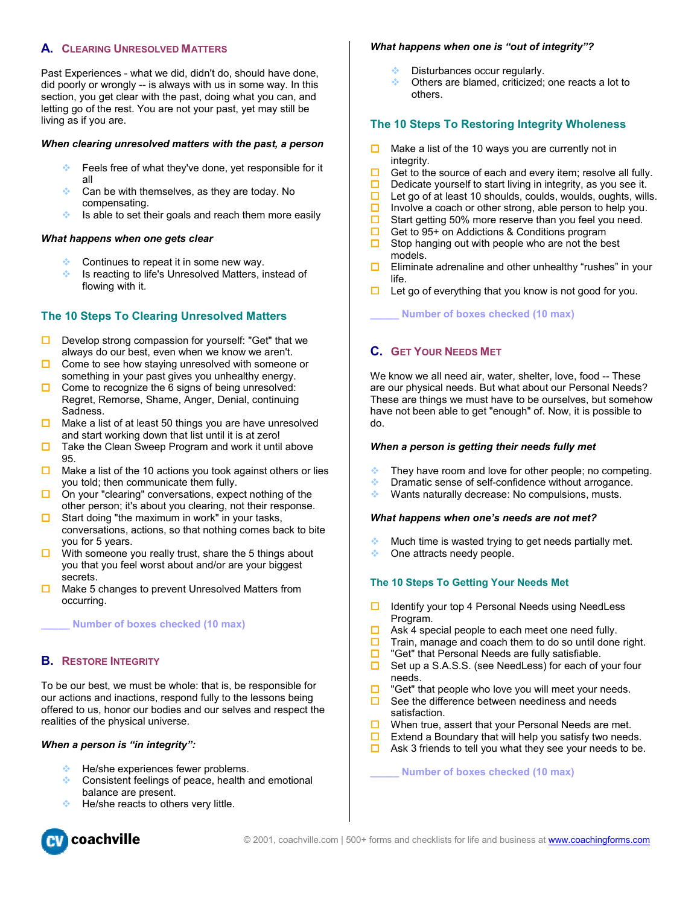# **A. CLEARING UNRESOLVED MATTERS**

Past Experiences - what we did, didn't do, should have done, did poorly or wrongly -- is always with us in some way. In this section, you get clear with the past, doing what you can, and letting go of the rest. You are not your past, yet may still be living as if you are.

#### *When clearing unresolved matters with the past, a person*

- Feels free of what they've done, yet responsible for it all
- $\bullet$  Can be with themselves, as they are today. No compensating.
- $\cdot$  Is able to set their goals and reach them more easily

#### *What happens when one gets clear*

- Continues to repeat it in some new way.
- **Ex** Is reacting to life's Unresolved Matters, instead of flowing with it.

# **The 10 Steps To Clearing Unresolved Matters**

- $\square$  Develop strong compassion for yourself: "Get" that we always do our best, even when we know we aren't.
- $\Box$  Come to see how staying unresolved with someone or something in your past gives you unhealthy energy.
- $\Box$  Come to recognize the 6 signs of being unresolved: Regret, Remorse, Shame, Anger, Denial, continuing Sadness.
- $\Box$  Make a list of at least 50 things you are have unresolved and start working down that list until it is at zero!
- $\Box$  Take the Clean Sweep Program and work it until above 95.
- $\Box$  Make a list of the 10 actions you took against others or lies you told; then communicate them fully.
- On your "clearing" conversations, expect nothing of the other person; it's about you clearing, not their response.
- Start doing "the maximum in work" in your tasks, conversations, actions, so that nothing comes back to bite you for 5 years.
- $\Box$  With someone you really trust, share the 5 things about you that you feel worst about and/or are your biggest secrets.
- $\Box$  Make 5 changes to prevent Unresolved Matters from occurring.

**\_\_\_\_\_ Number of boxes checked (10 max)** 

#### **B. RESTORE INTEGRITY**

To be our best, we must be whole: that is, be responsible for our actions and inactions, respond fully to the lessons being offered to us, honor our bodies and our selves and respect the realities of the physical universe.

#### *When a person is "in integrity":*

- He/she experiences fewer problems.
- $\bullet$  Consistent feelings of peace, health and emotional balance are present.
- He/she reacts to others very little.



#### *What happens when one is "out of integrity"?*

- Disturbances occur regularly.
- Others are blamed, criticized; one reacts a lot to others.

## **The 10 Steps To Restoring Integrity Wholeness**

- $\Box$  Make a list of the 10 ways you are currently not in integrity.
- $\Box$  Get to the source of each and every item; resolve all fully.
- $\Box$  Dedicate yourself to start living in integrity, as you see it.
- $\Box$  Let go of at least 10 shoulds, coulds, woulds, oughts, wills.
- Involve a coach or other strong, able person to help you.
- $\Box$  Start getting 50% more reserve than you feel you need.
- $\Box$  Get to 95+ on Addictions & Conditions program
- $\Box$  Stop hanging out with people who are not the best models.
- $\Box$  Eliminate adrenaline and other unhealthy "rushes" in your life.
- $\Box$  Let go of everything that you know is not good for you.

**\_\_\_\_\_ Number of boxes checked (10 max)** 

# **C. GET YOUR NEEDS MET**

We know we all need air, water, shelter, love, food -- These are our physical needs. But what about our Personal Needs? These are things we must have to be ourselves, but somehow have not been able to get "enough" of. Now, it is possible to do.

#### *When a person is getting their needs fully met*

- They have room and love for other people; no competing.
- Dramatic sense of self-confidence without arrogance.
- ◆ Wants naturally decrease: No compulsions, musts.

#### *What happens when one's needs are not met?*

- Much time is wasted trying to get needs partially met.
- ◆ One attracts needy people.

#### **The 10 Steps To Getting Your Needs Met**

- $\Box$  Identify your top 4 Personal Needs using NeedLess Program.
- $\Box$  Ask 4 special people to each meet one need fully.
- $\Box$  Train, manage and coach them to do so until done right.
- $\Box$  "Get" that Personal Needs are fully satisfiable.
- $\Box$  Set up a S.A.S.S. (see NeedLess) for each of your four needs.
- $\Box$  "Get" that people who love you will meet your needs.
- $\Box$  See the difference between neediness and needs satisfaction.
- $\Box$  When true, assert that your Personal Needs are met.
- Extend a Boundary that will help you satisfy two needs.
- $\Box$  Ask 3 friends to tell you what they see your needs to be.

**\_\_\_\_\_ Number of boxes checked (10 max)**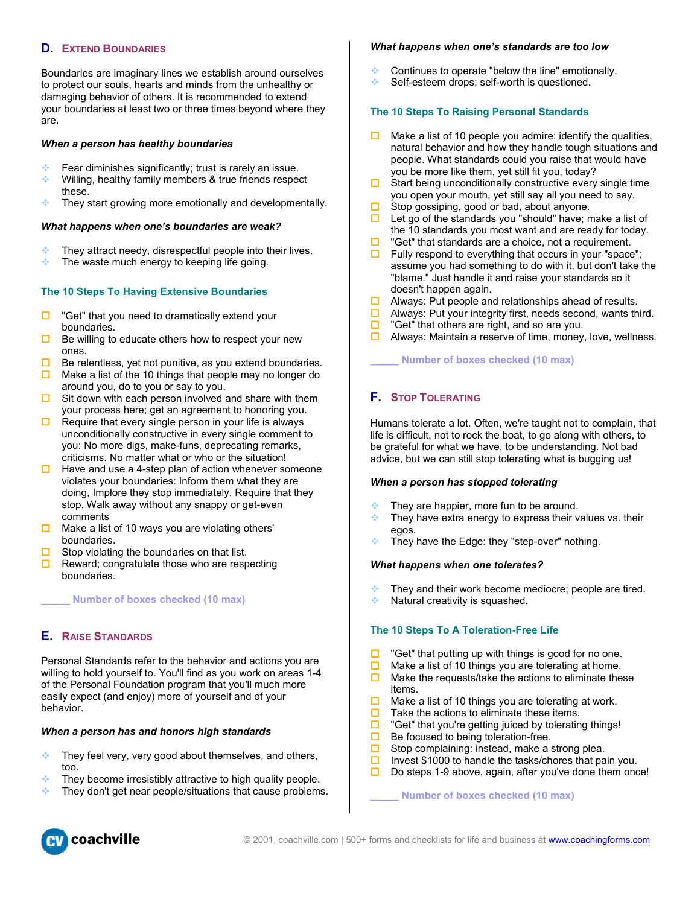# **D. EXTEND BOUNDARIES**

Boundaries are imaginary lines we establish around ourselves to protect our souls, hearts and minds from the unhealthy or damaging behavior of others. It is recommended to extend your boundaries at least two or three times beyond where they are.

#### *When a person has healthy boundaries*

- Fear diminishes significantly; trust is rarely an issue.
- $\cdot$  Willing, healthy family members & true friends respect these.
- $\cdot$  They start growing more emotionally and developmentally.

#### *What happens when one's boundaries are weak?*

- $\bullet$  They attract needy, disrespectful people into their lives.
- The waste much energy to keeping life going.

#### **The 10 Steps To Having Extensive Boundaries**

- $\Box$  "Get" that you need to dramatically extend your boundaries.
- $\Box$  Be willing to educate others how to respect your new ones.
- $\Box$  Be relentless, yet not punitive, as you extend boundaries.
- $\Box$  Make a list of the 10 things that people may no longer do around you, do to you or say to you.
- $\Box$  Sit down with each person involved and share with them your process here; get an agreement to honoring you.
- $\Box$  Require that every single person in your life is always unconditionally constructive in every single comment to you: No more digs, make-funs, deprecating remarks, criticisms. No matter what or who or the situation!
- $\Box$  Have and use a 4-step plan of action whenever someone violates your boundaries: Inform them what they are doing, Implore they stop immediately, Require that they stop, Walk away without any snappy or get-even comments
- $\Box$  Make a list of 10 ways you are violating others' boundaries.
- Stop violating the boundaries on that list.
- Reward; congratulate those who are respecting boundaries.

**\_\_\_\_\_ Number of boxes checked (10 max)** 

#### **E. RAISE STANDARDS**

Personal Standards refer to the behavior and actions you are willing to hold yourself to. You'll find as you work on areas 1-4 of the Personal Foundation program that you'll much more easily expect (and enjoy) more of yourself and of your behavior.

#### *When a person has and honors high standards*

- $\bullet$  They feel very, very good about themselves, and others, too.
- They become irresistibly attractive to high quality people.
- They don't get near people/situations that cause problems.

#### *What happens when one's standards are too low*

- Continues to operate "below the line" emotionally.
- Self-esteem drops; self-worth is questioned.

#### **The 10 Steps To Raising Personal Standards**

- $\Box$  Make a list of 10 people you admire: identify the qualities, natural behavior and how they handle tough situations and people. What standards could you raise that would have you be more like them, yet still fit you, today?
- $\Box$  Start being unconditionally constructive every single time you open your mouth, yet still say all you need to say.
- $\Box$  Stop gossiping, good or bad, about anyone.
- $\Box$  Let go of the standards you "should" have; make a list of the 10 standards you most want and are ready for today.
- $\Box$  "Get" that standards are a choice, not a requirement.
- $\Box$  Fully respond to everything that occurs in your "space"; assume you had something to do with it, but don't take the "blame." Just handle it and raise your standards so it doesn't happen again.
- $\Box$  Always: Put people and relationships ahead of results.
- $\Box$  Always: Put your integrity first, needs second, wants third.
- $\Box$  "Get" that others are right, and so are you.
- $\Box$  Always: Maintain a reserve of time, money, love, wellness.

**\_\_\_\_\_ Number of boxes checked (10 max)** 

#### **F. STOP TOLERATING**

Humans tolerate a lot. Often, we're taught not to complain, that life is difficult, not to rock the boat, to go along with others, to be grateful for what we have, to be understanding. Not bad advice, but we can still stop tolerating what is bugging us!

#### *When a person has stopped tolerating*

- They are happier, more fun to be around.
- $\bullet$  They have extra energy to express their values vs. their egos.
- **They have the Edge: they "step-over" nothing.**

#### *What happens when one tolerates?*

- They and their work become mediocre; people are tired.
- $\bullet$  Natural creativity is squashed.

#### **The 10 Steps To A Toleration-Free Life**

- "Get" that putting up with things is good for no one.
- $\Box$  Make a list of 10 things you are tolerating at home.
- $\Box$  Make the requests/take the actions to eliminate these items.
- $\Box$  Make a list of 10 things you are tolerating at work.
- $\Box$  Take the actions to eliminate these items.
- $\Box$  "Get" that you're getting juiced by tolerating things!
- $\Box$  Be focused to being toleration-free.
- $\Box$  Stop complaining: instead, make a strong plea.
- Invest \$1000 to handle the tasks/chores that pain you.
- $\square$  Do steps 1-9 above, again, after you've done them once!

**\_\_\_\_\_ Number of boxes checked (10 max)** 

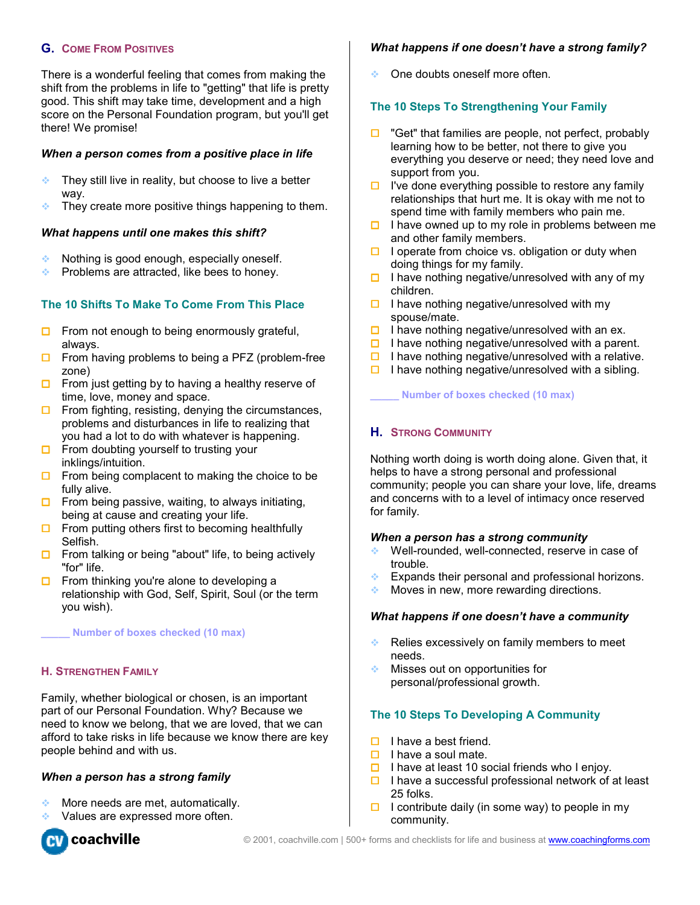# **G. COME FROM POSITIVES**

There is a wonderful feeling that comes from making the shift from the problems in life to "getting" that life is pretty good. This shift may take time, development and a high score on the Personal Foundation program, but you'll get there! We promise!

## *When a person comes from a positive place in life*

- They still live in reality, but choose to live a better way.
- $\bullet$  They create more positive things happening to them.

#### *What happens until one makes this shift?*

- Nothing is good enough, especially oneself.
- Problems are attracted, like bees to honey.

# **The 10 Shifts To Make To Come From This Place**

- $\Box$  From not enough to being enormously grateful, always.
- $\Box$  From having problems to being a PFZ (problem-free zone)
- $\Box$  From just getting by to having a healthy reserve of time, love, money and space.
- $\Box$  From fighting, resisting, denying the circumstances, problems and disturbances in life to realizing that you had a lot to do with whatever is happening.
- $\Box$  From doubting yourself to trusting your inklings/intuition.
- $\Box$  From being complacent to making the choice to be fully alive.
- $\Box$  From being passive, waiting, to always initiating, being at cause and creating your life.
- $\Box$  From putting others first to becoming healthfully Selfish.
- $\Box$  From talking or being "about" life, to being actively "for" life.
- $\Box$  From thinking you're alone to developing a relationship with God, Self, Spirit, Soul (or the term you wish).

**\_\_\_\_\_ Number of boxes checked (10 max)** 

#### **H. STRENGTHEN FAMILY**

Family, whether biological or chosen, is an important part of our Personal Foundation. Why? Because we need to know we belong, that we are loved, that we can afford to take risks in life because we know there are key people behind and with us.

#### *When a person has a strong family*

- $\triangleleft$  More needs are met, automatically.
- Values are expressed more often.



#### *What happens if one doesn't have a strong family?*

One doubts oneself more often.

# **The 10 Steps To Strengthening Your Family**

- $\Box$  "Get" that families are people, not perfect, probably learning how to be better, not there to give you everything you deserve or need; they need love and support from you.
- $\Box$  I've done everything possible to restore any family relationships that hurt me. It is okay with me not to spend time with family members who pain me.
- $\Box$  I have owned up to my role in problems between me and other family members.
- $\Box$  I operate from choice vs. obligation or duty when doing things for my family.
- $\Box$  I have nothing negative/unresolved with any of my children.
- $\Box$  I have nothing negative/unresolved with my spouse/mate.
- $\Box$  I have nothing negative/unresolved with an ex.
- $\Box$  I have nothing negative/unresolved with a parent.
- $\Box$  I have nothing negative/unresolved with a relative.
- $\Box$  I have nothing negative/unresolved with a sibling.

**\_\_\_\_\_ Number of boxes checked (10 max)** 

#### **H. STRONG COMMUNITY**

Nothing worth doing is worth doing alone. Given that, it helps to have a strong personal and professional community; people you can share your love, life, dreams and concerns with to a level of intimacy once reserved for family.

#### *When a person has a strong community*

- **◆** Well-rounded, well-connected, reserve in case of trouble.
- Expands their personal and professional horizons.
- $\triangleq$  Moves in new, more rewarding directions.

#### *What happens if one doesn't have a community*

- Relies excessively on family members to meet needs.
- **Misses out on opportunities for** personal/professional growth.

#### **The 10 Steps To Developing A Community**

- $\Box$  I have a best friend.
- $\Box$  I have a soul mate.
- $\Box$  I have at least 10 social friends who I enjoy.
- $\Box$  I have a successful professional network of at least 25 folks.
- $\Box$  I contribute daily (in some way) to people in my community.